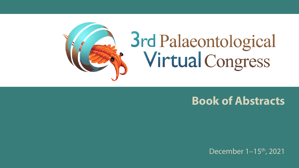

# 3rd Palaeontological<br>Virtual Congress

## **Book of Abstracts**

December 1-15<sup>th</sup>, 2021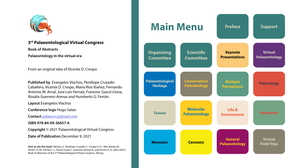

**3rd Palaeontological Virtual Congress Book of Abstracts Palaeontology in the virtual era**

From an original idea of Vicente D. Crespo

**Published by** Evangelos Vlachos, Penélope Cruzado-Caballero, Vicente D. Crespo, María Ríos Ibañez, Fernando Antonio M. Arnal, Jose Luis Herraiz, Francesc Gascó-Lluna, Rosalía Guerrero-Arenas and Humberto G. Ferrón.

**Layout** Evangelos Vlachos

**Conference logo** Hugo Salais

**Contact** palaeovc@gmail.com

**ISBN 978-84-09-36657-6**

**Copyright** © 2021 Palaeontological Virtual Congress

**Date of Publication** December 9, 2021

**How to cite this book**: Vlachos, E. Penélope Cruzado-C., Crespo V. D. , Ríos Ibañez M., Arnal F. A. M., Herraiz J. L., Gascó-Lluna F., Guerrero-Arenas R., and Ferrón H. G. (eds) (2021) Book of Abstracts of the 3rd Palaeontological Virtual Congress, 304 pp.

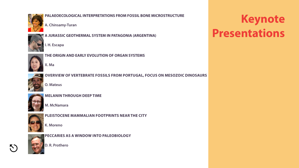

**PALAEOECOLOGICAL INTERPRETATIONS FROM FOSSIL BONE MICROSTRUCTURE**

**A. Chinsamy-Turan**



**A JURASSIC GEOTHERMAL SYSTEM IN PATAGONIA (ARGENTINA)**

**I. H. Escapa**



**THE ORIGIN AND EARLY EVOLUTION OF ORGAN SYSTEMS**

**X. Ma**



**OVERVIEW OF VERTEBRATE FOSSILS FROM PORTUGAL, FOCUS ON MESOZOIC DINOSAURS**

**O. Mateus**



**MELANIN THROUGH DEEP TIME**

**M. McNamara**



**PLEISTOCENE MAMMALIAN FOOTPRINTS NEAR THE CITY**

**K. Moreno**



**N** 

**PECCARIES AS A WINDOW INTO PALEOBIOLOGY**

**D. R. Prothero**

## **Keynote Presentations**